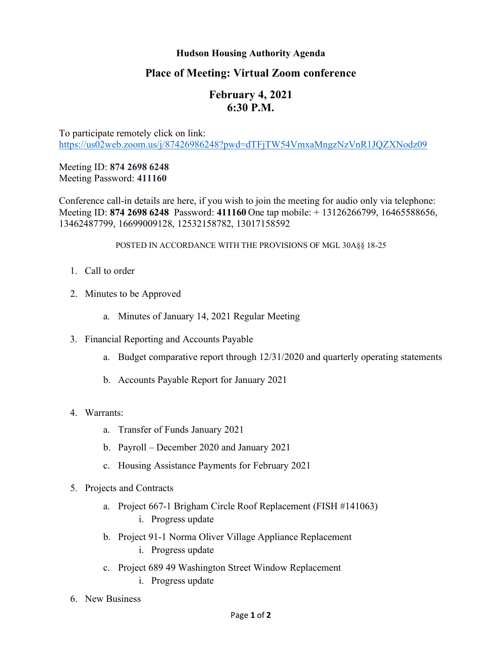## **Hudson Housing Authority Agenda**

## **Place of Meeting: Virtual Zoom conference**

# **February 4, 2021 6:30 P.M.**

To participate remotely click on link: <https://us02web.zoom.us/j/87426986248?pwd=dTFjTW54VmxaMngzNzVnR1JQZXNodz09>

Meeting ID: **874 2698 6248** Meeting Password: **411160**

Conference call-in details are here, if you wish to join the meeting for audio only via telephone: Meeting ID: **874 2698 6248** Password: **411160** One tap mobile: + 13126266799, 16465588656, 13462487799, 16699009128, 12532158782, 13017158592

#### POSTED IN ACCORDANCE WITH THE PROVISIONS OF MGL 30A§§ 18-25

- 1. Call to order
- 2. Minutes to be Approved
	- a. Minutes of January 14, 2021 Regular Meeting
- 3. Financial Reporting and Accounts Payable
	- a. Budget comparative report through 12/31/2020 and quarterly operating statements
	- b. Accounts Payable Report for January 2021
- 4. Warrants:
	- a. Transfer of Funds January 2021
	- b. Payroll December 2020 and January 2021
	- c. Housing Assistance Payments for February 2021
- 5. Projects and Contracts
	- a. Project 667-1 Brigham Circle Roof Replacement (FISH #141063) i. Progress update
	- b. Project 91-1 Norma Oliver Village Appliance Replacement
		- i. Progress update
	- c. Project 689 49 Washington Street Window Replacement i. Progress update
- 6. New Business